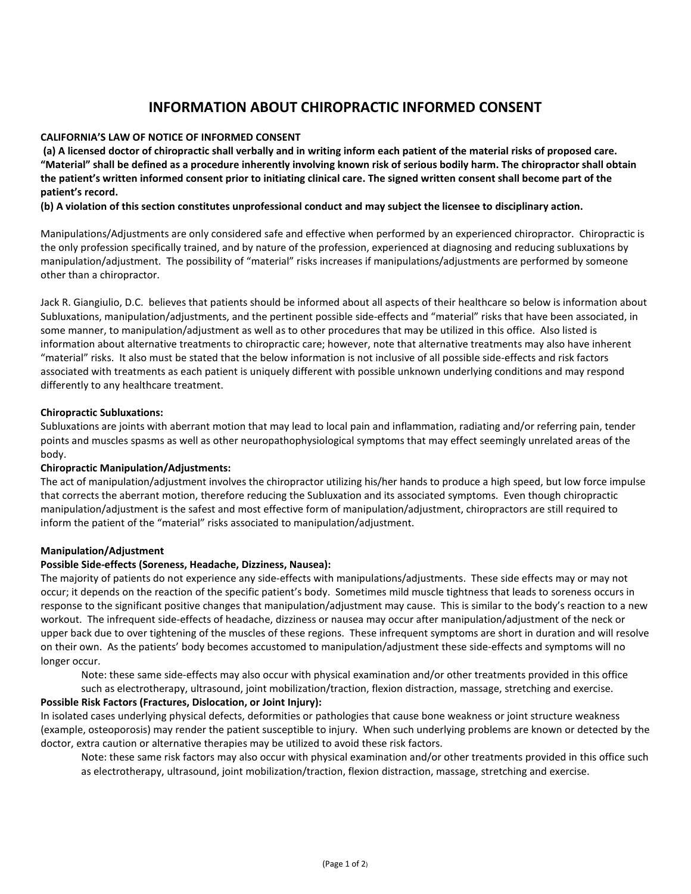# **INFORMATION ABOUT CHIROPRACTIC INFORMED CONSENT**

# **CALIFORNIA'S LAW OF NOTICE OF INFORMED CONSENT**

**(a) A licensed doctor of chiropractic shall verbally and in writing inform each patient of the material risks of proposed care. "Material" shall be defined as a procedure inherently involving known risk of serious bodily harm. The chiropractor shall obtain the patient's written informed consent prior to initiating clinical care. The signed written consent shall become part of the patient's record.**

**(b) A violation of this section constitutes unprofessional conduct and may subject the licensee to disciplinary action.**

Manipulations/Adjustments are only considered safe and effective when performed by an experienced chiropractor. Chiropractic is the only profession specifically trained, and by nature of the profession, experienced at diagnosing and reducing subluxations by manipulation/adjustment. The possibility of "material" risks increases if manipulations/adjustments are performed by someone other than a chiropractor.

Jack R. Giangiulio, D.C. believes that patients should be informed about all aspects of their healthcare so below is information about Subluxations, manipulation/adjustments, and the pertinent possible side-effects and "material" risks that have been associated, in some manner, to manipulation/adjustment as well as to other procedures that may be utilized in this office. Also listed is information about alternative treatments to chiropractic care; however, note that alternative treatments may also have inherent "material" risks. It also must be stated that the below information is not inclusive of all possible side-effects and risk factors associated with treatments as each patient is uniquely different with possible unknown underlying conditions and may respond differently to any healthcare treatment.

### **Chiropractic Subluxations:**

Subluxations are joints with aberrant motion that may lead to local pain and inflammation, radiating and/or referring pain, tender points and muscles spasms as well as other neuropathophysiological symptoms that may effect seemingly unrelated areas of the body.

# **Chiropractic Manipulation/Adjustments:**

The act of manipulation/adjustment involves the chiropractor utilizing his/her hands to produce a high speed, but low force impulse that corrects the aberrant motion, therefore reducing the Subluxation and its associated symptoms. Even though chiropractic manipulation/adjustment is the safest and most effective form of manipulation/adjustment, chiropractors are still required to inform the patient of the "material" risks associated to manipulation/adjustment.

#### **Manipulation/Adjustment**

# **Possible Side-effects (Soreness, Headache, Dizziness, Nausea):**

The majority of patients do not experience any side-effects with manipulations/adjustments. These side effects may or may not occur; it depends on the reaction of the specific patient's body. Sometimes mild muscle tightness that leads to soreness occurs in response to the significant positive changes that manipulation/adjustment may cause. This is similar to the body's reaction to a new workout. The infrequent side-effects of headache, dizziness or nausea may occur after manipulation/adjustment of the neck or upper back due to over tightening of the muscles of these regions. These infrequent symptoms are short in duration and will resolve on their own. As the patients' body becomes accustomed to manipulation/adjustment these side-effects and symptoms will no longer occur.

Note: these same side-effects may also occur with physical examination and/or other treatments provided in this office such as electrotherapy, ultrasound, joint mobilization/traction, flexion distraction, massage, stretching and exercise.

# **Possible Risk Factors (Fractures, Dislocation, or Joint Injury):**

In isolated cases underlying physical defects, deformities or pathologies that cause bone weakness or joint structure weakness (example, osteoporosis) may render the patient susceptible to injury. When such underlying problems are known or detected by the doctor, extra caution or alternative therapies may be utilized to avoid these risk factors.

Note: these same risk factors may also occur with physical examination and/or other treatments provided in this office such as electrotherapy, ultrasound, joint mobilization/traction, flexion distraction, massage, stretching and exercise.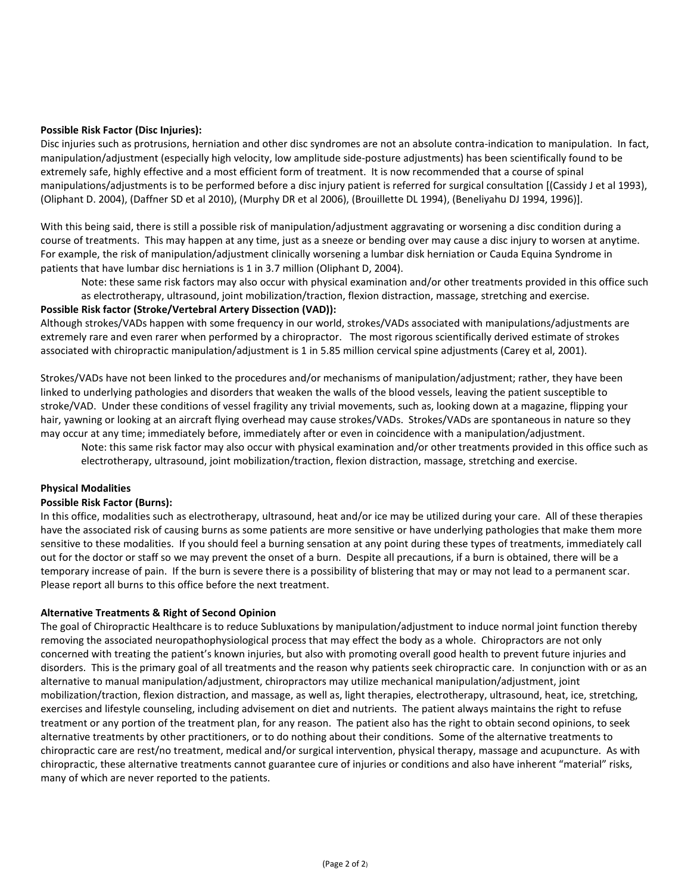#### **Possible Risk Factor (Disc Injuries):**

Disc injuries such as protrusions, herniation and other disc syndromes are not an absolute contra-indication to manipulation. In fact, manipulation/adjustment (especially high velocity, low amplitude side-posture adjustments) has been scientifically found to be extremely safe, highly effective and a most efficient form of treatment. It is now recommended that a course of spinal manipulations/adjustments is to be performed before a disc injury patient is referred for surgical consultation [(Cassidy J et al 1993), (Oliphant D. 2004), (Daffner SD et al 2010), (Murphy DR et al 2006), (Brouillette DL 1994), (Beneliyahu DJ 1994, 1996)].

With this being said, there is still a possible risk of manipulation/adjustment aggravating or worsening a disc condition during a course of treatments. This may happen at any time, just as a sneeze or bending over may cause a disc injury to worsen at anytime. For example, the risk of manipulation/adjustment clinically worsening a lumbar disk herniation or Cauda Equina Syndrome in patients that have lumbar disc herniations is 1 in 3.7 million (Oliphant D, 2004).

Note: these same risk factors may also occur with physical examination and/or other treatments provided in this office such as electrotherapy, ultrasound, joint mobilization/traction, flexion distraction, massage, stretching and exercise.

### **Possible Risk factor (Stroke/Vertebral Artery Dissection (VAD)):**

Although strokes/VADs happen with some frequency in our world, strokes/VADs associated with manipulations/adjustments are extremely rare and even rarer when performed by a chiropractor. The most rigorous scientifically derived estimate of strokes associated with chiropractic manipulation/adjustment is 1 in 5.85 million cervical spine adjustments (Carey et al, 2001).

Strokes/VADs have not been linked to the procedures and/or mechanisms of manipulation/adjustment; rather, they have been linked to underlying pathologies and disorders that weaken the walls of the blood vessels, leaving the patient susceptible to stroke/VAD. Under these conditions of vessel fragility any trivial movements, such as, looking down at a magazine, flipping your hair, yawning or looking at an aircraft flying overhead may cause strokes/VADs. Strokes/VADs are spontaneous in nature so they may occur at any time; immediately before, immediately after or even in coincidence with a manipulation/adjustment.

Note: this same risk factor may also occur with physical examination and/or other treatments provided in this office such as electrotherapy, ultrasound, joint mobilization/traction, flexion distraction, massage, stretching and exercise.

#### **Physical Modalities**

#### **Possible Risk Factor (Burns):**

In this office, modalities such as electrotherapy, ultrasound, heat and/or ice may be utilized during your care. All of these therapies have the associated risk of causing burns as some patients are more sensitive or have underlying pathologies that make them more sensitive to these modalities. If you should feel a burning sensation at any point during these types of treatments, immediately call out for the doctor or staff so we may prevent the onset of a burn. Despite all precautions, if a burn is obtained, there will be a temporary increase of pain. If the burn is severe there is a possibility of blistering that may or may not lead to a permanent scar. Please report all burns to this office before the next treatment.

#### **Alternative Treatments & Right of Second Opinion**

The goal of Chiropractic Healthcare is to reduce Subluxations by manipulation/adjustment to induce normal joint function thereby removing the associated neuropathophysiological process that may effect the body as a whole. Chiropractors are not only concerned with treating the patient's known injuries, but also with promoting overall good health to prevent future injuries and disorders. This is the primary goal of all treatments and the reason why patients seek chiropractic care. In conjunction with or as an alternative to manual manipulation/adjustment, chiropractors may utilize mechanical manipulation/adjustment, joint mobilization/traction, flexion distraction, and massage, as well as, light therapies, electrotherapy, ultrasound, heat, ice, stretching, exercises and lifestyle counseling, including advisement on diet and nutrients. The patient always maintains the right to refuse treatment or any portion of the treatment plan, for any reason. The patient also has the right to obtain second opinions, to seek alternative treatments by other practitioners, or to do nothing about their conditions. Some of the alternative treatments to chiropractic care are rest/no treatment, medical and/or surgical intervention, physical therapy, massage and acupuncture. As with chiropractic, these alternative treatments cannot guarantee cure of injuries or conditions and also have inherent "material" risks, many of which are never reported to the patients.